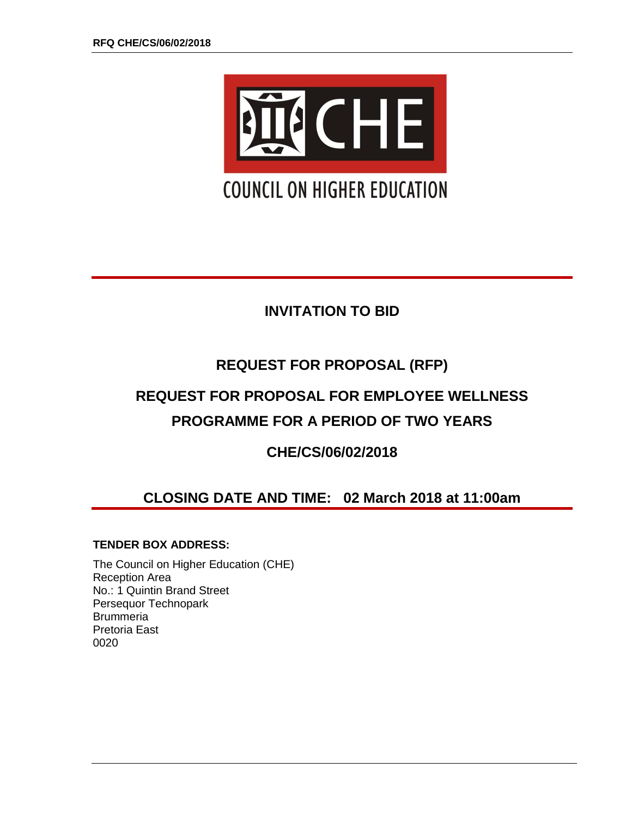

# **INVITATION TO BID**

# **REQUEST FOR PROPOSAL (RFP)**

# **REQUEST FOR PROPOSAL FOR EMPLOYEE WELLNESS PROGRAMME FOR A PERIOD OF TWO YEARS**

## **CHE/CS/06/02/2018**

# **CLOSING DATE AND TIME: 02 March 2018 at 11:00am**

## **TENDER BOX ADDRESS:**

The Council on Higher Education (CHE) Reception Area No.: 1 Quintin Brand Street Persequor Technopark **Brummeria** Pretoria East 0020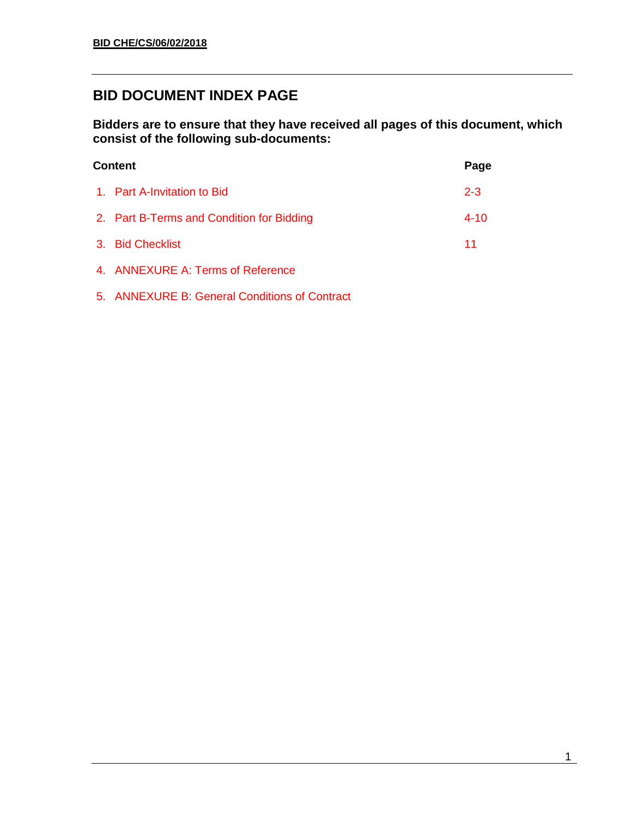## **BID DOCUMENT INDEX PAGE**

**Bidders are to ensure that they have received all pages of this document, which consist of the following sub-documents:**

| <b>Content</b>                            |          |  |
|-------------------------------------------|----------|--|
| 1. Part A-Invitation to Bid               | $2 - 3$  |  |
| 2. Part B-Terms and Condition for Bidding | $4 - 10$ |  |
| 3. Bid Checklist                          | 11       |  |
| 4. ANNEXURE A: Terms of Reference         |          |  |
|                                           |          |  |

5. ANNEXURE B: General Conditions of Contract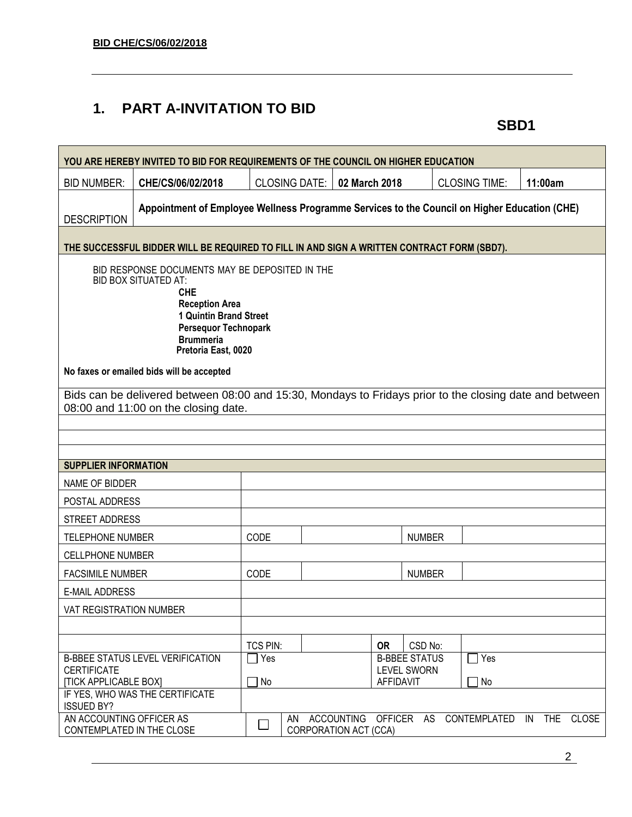## **1. PART A-INVITATION TO BID**

**SBD1**

| YOU ARE HEREBY INVITED TO BID FOR REQUIREMENTS OF THE COUNCIL ON HIGHER EDUCATION                                                                                                                                        |                                                                                                                                                 |                      |  |                       |                                            |                      |                                                    |  |
|--------------------------------------------------------------------------------------------------------------------------------------------------------------------------------------------------------------------------|-------------------------------------------------------------------------------------------------------------------------------------------------|----------------------|--|-----------------------|--------------------------------------------|----------------------|----------------------------------------------------|--|
| <b>BID NUMBER:</b>                                                                                                                                                                                                       | CHE/CS/06/02/2018                                                                                                                               | <b>CLOSING DATE:</b> |  | 02 March 2018         |                                            | <b>CLOSING TIME:</b> | 11:00am                                            |  |
| <b>DESCRIPTION</b>                                                                                                                                                                                                       | Appointment of Employee Wellness Programme Services to the Council on Higher Education (CHE)                                                    |                      |  |                       |                                            |                      |                                                    |  |
| THE SUCCESSFUL BIDDER WILL BE REQUIRED TO FILL IN AND SIGN A WRITTEN CONTRACT FORM (SBD7).                                                                                                                               |                                                                                                                                                 |                      |  |                       |                                            |                      |                                                    |  |
| BID RESPONSE DOCUMENTS MAY BE DEPOSITED IN THE<br><b>BID BOX SITUATED AT:</b><br><b>CHE</b><br><b>Reception Area</b><br>1 Quintin Brand Street<br><b>Persequor Technopark</b><br><b>Brummeria</b><br>Pretoria East, 0020 |                                                                                                                                                 |                      |  |                       |                                            |                      |                                                    |  |
|                                                                                                                                                                                                                          | No faxes or emailed bids will be accepted                                                                                                       |                      |  |                       |                                            |                      |                                                    |  |
|                                                                                                                                                                                                                          | Bids can be delivered between 08:00 and 15:30, Mondays to Fridays prior to the closing date and between<br>08:00 and 11:00 on the closing date. |                      |  |                       |                                            |                      |                                                    |  |
|                                                                                                                                                                                                                          |                                                                                                                                                 |                      |  |                       |                                            |                      |                                                    |  |
| <b>SUPPLIER INFORMATION</b>                                                                                                                                                                                              |                                                                                                                                                 |                      |  |                       |                                            |                      |                                                    |  |
| NAME OF BIDDER                                                                                                                                                                                                           |                                                                                                                                                 |                      |  |                       |                                            |                      |                                                    |  |
| POSTAL ADDRESS                                                                                                                                                                                                           |                                                                                                                                                 |                      |  |                       |                                            |                      |                                                    |  |
| STREET ADDRESS                                                                                                                                                                                                           |                                                                                                                                                 |                      |  |                       |                                            |                      |                                                    |  |
| <b>TELEPHONE NUMBER</b>                                                                                                                                                                                                  |                                                                                                                                                 | CODE                 |  |                       | <b>NUMBER</b>                              |                      |                                                    |  |
| <b>CELLPHONE NUMBER</b>                                                                                                                                                                                                  |                                                                                                                                                 |                      |  |                       |                                            |                      |                                                    |  |
| <b>FACSIMILE NUMBER</b>                                                                                                                                                                                                  |                                                                                                                                                 | CODE                 |  |                       | <b>NUMBER</b>                              |                      |                                                    |  |
| <b>E-MAIL ADDRESS</b>                                                                                                                                                                                                    |                                                                                                                                                 |                      |  |                       |                                            |                      |                                                    |  |
| VAT REGISTRATION NUMBER                                                                                                                                                                                                  |                                                                                                                                                 |                      |  |                       |                                            |                      |                                                    |  |
|                                                                                                                                                                                                                          |                                                                                                                                                 |                      |  |                       |                                            |                      |                                                    |  |
|                                                                                                                                                                                                                          |                                                                                                                                                 | TCS PIN:             |  | <b>OR</b>             | CSD No:                                    |                      |                                                    |  |
| <b>CERTIFICATE</b>                                                                                                                                                                                                       | <b>B-BBEE STATUS LEVEL VERIFICATION</b>                                                                                                         | Yes                  |  |                       | <b>B-BBEE STATUS</b><br><b>LEVEL SWORN</b> | Yes                  |                                                    |  |
| <b>[TICK APPLICABLE BOX]</b>                                                                                                                                                                                             |                                                                                                                                                 | $\Box$ No            |  | <b>AFFIDAVIT</b>      |                                            | $\Box$ No            |                                                    |  |
| <b>ISSUED BY?</b>                                                                                                                                                                                                        | IF YES, WHO WAS THE CERTIFICATE                                                                                                                 |                      |  |                       |                                            |                      |                                                    |  |
| AN ACCOUNTING OFFICER AS<br>CONTEMPLATED IN THE CLOSE                                                                                                                                                                    |                                                                                                                                                 |                      |  | CORPORATION ACT (CCA) |                                            |                      | AN ACCOUNTING OFFICER AS CONTEMPLATED IN THE CLOSE |  |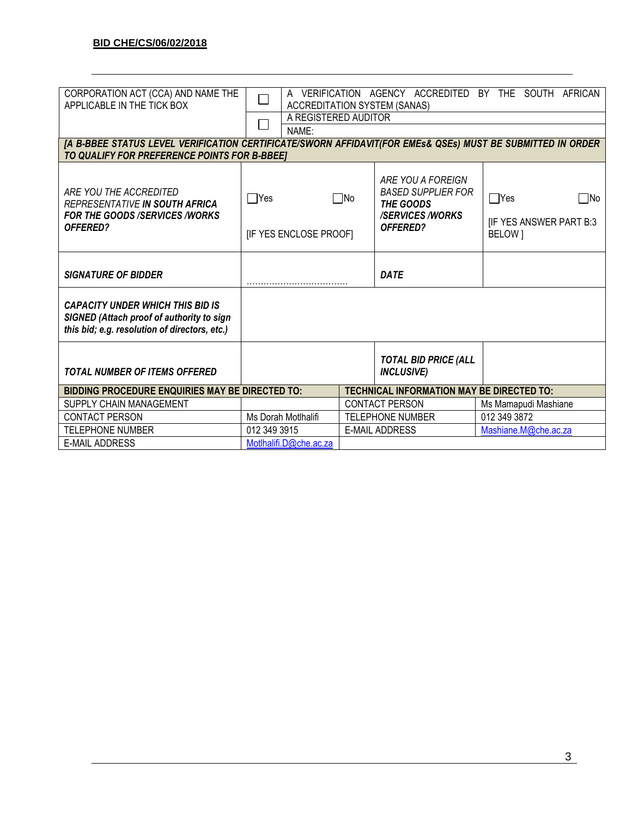| CORPORATION ACT (CCA) AND NAME THE<br>APPLICABLE IN THE TICK BOX                                                                                           | VERIFICATION AGENCY ACCREDITED BY THE SOUTH AFRICAN<br>A<br><b>ACCREDITATION SYSTEM (SANAS)</b> |  |                                                                                                                 |  |                                                               |
|------------------------------------------------------------------------------------------------------------------------------------------------------------|-------------------------------------------------------------------------------------------------|--|-----------------------------------------------------------------------------------------------------------------|--|---------------------------------------------------------------|
|                                                                                                                                                            | A REGISTERED AUDITOR                                                                            |  |                                                                                                                 |  |                                                               |
|                                                                                                                                                            | NAME:                                                                                           |  |                                                                                                                 |  |                                                               |
|                                                                                                                                                            |                                                                                                 |  |                                                                                                                 |  |                                                               |
| [A B-BBEE STATUS LEVEL VERIFICATION CERTIFICATE/SWORN AFFIDAVIT(FOR EMEs& QSEs) MUST BE SUBMITTED IN ORDER<br>TO QUALIFY FOR PREFERENCE POINTS FOR B-BBEET |                                                                                                 |  |                                                                                                                 |  |                                                               |
| ARE YOU THE ACCREDITED<br><b>REPRESENTATIVE IN SOUTH AFRICA</b><br><b>FOR THE GOODS /SERVICES /WORKS</b><br><b>OFFERED?</b>                                | $\Box$ Yes<br>$\square$ No<br>[IF YES ENCLOSE PROOF]                                            |  | ARE YOU A FOREIGN<br><b>BASED SUPPLIER FOR</b><br><b>THE GOODS</b><br><b>/SERVICES/WORKS</b><br><b>OFFERED?</b> |  | $\Box$ Yes<br>□No<br><b>IF YES ANSWER PART B:3</b><br>BELOW ] |
| <b>SIGNATURE OF BIDDER</b>                                                                                                                                 |                                                                                                 |  | <b>DATE</b>                                                                                                     |  |                                                               |
| <b>CAPACITY UNDER WHICH THIS BID IS</b><br>SIGNED (Attach proof of authority to sign<br>this bid; e.g. resolution of directors, etc.)                      |                                                                                                 |  |                                                                                                                 |  |                                                               |
| <b>TOTAL NUMBER OF ITEMS OFFERED</b>                                                                                                                       |                                                                                                 |  | <b>TOTAL BID PRICE (ALL</b><br><b>INCLUSIVE)</b>                                                                |  |                                                               |
| <b>BIDDING PROCEDURE ENQUIRIES MAY BE DIRECTED TO:</b>                                                                                                     |                                                                                                 |  |                                                                                                                 |  | <b>TECHNICAL INFORMATION MAY BE DIRECTED TO:</b>              |
| SUPPLY CHAIN MANAGEMENT                                                                                                                                    |                                                                                                 |  | <b>CONTACT PERSON</b>                                                                                           |  | Ms Mamapudi Mashiane                                          |
| <b>CONTACT PERSON</b>                                                                                                                                      | Ms Dorah Motlhalifi                                                                             |  | <b>TELEPHONE NUMBER</b>                                                                                         |  | 012 349 3872                                                  |
| <b>TELEPHONE NUMBER</b>                                                                                                                                    | 012 349 3915                                                                                    |  | <b>E-MAIL ADDRESS</b>                                                                                           |  | Mashiane.M@che.ac.za                                          |
| <b>E-MAIL ADDRESS</b>                                                                                                                                      | Motlhalifi.D@che.ac.za                                                                          |  |                                                                                                                 |  |                                                               |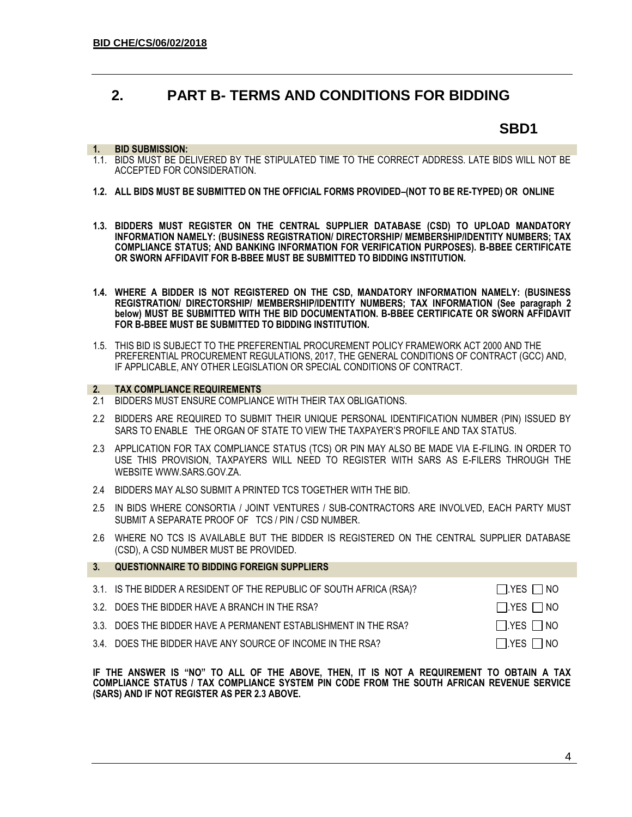## **2. PART B- TERMS AND CONDITIONS FOR BIDDING**

## **SBD1**

#### **1. BID SUBMISSION:**

- 1.1. BIDS MUST BE DELIVERED BY THE STIPULATED TIME TO THE CORRECT ADDRESS. LATE BIDS WILL NOT BE ACCEPTED FOR CONSIDERATION.
- **1.2. ALL BIDS MUST BE SUBMITTED ON THE OFFICIAL FORMS PROVIDED–(NOT TO BE RE-TYPED) OR ONLINE**
- **1.3. BIDDERS MUST REGISTER ON THE CENTRAL SUPPLIER DATABASE (CSD) TO UPLOAD MANDATORY INFORMATION NAMELY: (BUSINESS REGISTRATION/ DIRECTORSHIP/ MEMBERSHIP/IDENTITY NUMBERS; TAX COMPLIANCE STATUS; AND BANKING INFORMATION FOR VERIFICATION PURPOSES). B-BBEE CERTIFICATE OR SWORN AFFIDAVIT FOR B-BBEE MUST BE SUBMITTED TO BIDDING INSTITUTION.**
- **1.4. WHERE A BIDDER IS NOT REGISTERED ON THE CSD, MANDATORY INFORMATION NAMELY: (BUSINESS REGISTRATION/ DIRECTORSHIP/ MEMBERSHIP/IDENTITY NUMBERS; TAX INFORMATION (See paragraph 2 below) MUST BE SUBMITTED WITH THE BID DOCUMENTATION. B-BBEE CERTIFICATE OR SWORN AFFIDAVIT FOR B-BBEE MUST BE SUBMITTED TO BIDDING INSTITUTION.**
- 1.5. THIS BID IS SUBJECT TO THE PREFERENTIAL PROCUREMENT POLICY FRAMEWORK ACT 2000 AND THE PREFERENTIAL PROCUREMENT REGULATIONS, 2017, THE GENERAL CONDITIONS OF CONTRACT (GCC) AND, IF APPLICABLE, ANY OTHER LEGISLATION OR SPECIAL CONDITIONS OF CONTRACT.

#### **2. TAX COMPLIANCE REQUIREMENTS**

- 2.1 BIDDERS MUST ENSURE COMPLIANCE WITH THEIR TAX OBLIGATIONS.
- 2.2 BIDDERS ARE REQUIRED TO SUBMIT THEIR UNIQUE PERSONAL IDENTIFICATION NUMBER (PIN) ISSUED BY SARS TO ENABLE THE ORGAN OF STATE TO VIEW THE TAXPAYER'S PROFILE AND TAX STATUS.
- 2.3 APPLICATION FOR TAX COMPLIANCE STATUS (TCS) OR PIN MAY ALSO BE MADE VIA E-FILING. IN ORDER TO USE THIS PROVISION, TAXPAYERS WILL NEED TO REGISTER WITH SARS AS E-FILERS THROUGH THE WEBSIT[E WWW.SARS.GOV.ZA.](http://www.sars.gov.za/)
- 2.4 BIDDERS MAY ALSO SUBMIT A PRINTED TCS TOGETHER WITH THE BID.
- 2.5 IN BIDS WHERE CONSORTIA / JOINT VENTURES / SUB-CONTRACTORS ARE INVOLVED, EACH PARTY MUST SUBMIT A SEPARATE PROOF OF TCS / PIN / CSD NUMBER.
- 2.6 WHERE NO TCS IS AVAILABLE BUT THE BIDDER IS REGISTERED ON THE CENTRAL SUPPLIER DATABASE (CSD), A CSD NUMBER MUST BE PROVIDED.

| 3 <sub>1</sub> | <b>QUESTIONNAIRE TO BIDDING FOREIGN SUPPLIERS</b>                    |                      |
|----------------|----------------------------------------------------------------------|----------------------|
|                | 3.1. IS THE BIDDER A RESIDENT OF THE REPUBLIC OF SOUTH AFRICA (RSA)? | $\Box$ YES $\Box$ NO |
|                | 3.2. DOES THE BIDDER HAVE A BRANCH IN THE RSA?                       | $\Box$ YES $\Box$ NO |
|                | 3.3. DOES THE BIDDER HAVE A PERMANENT ESTABLISHMENT IN THE RSA?      | $\Box$ YES $\Box$ NO |
|                | 3.4. DOES THE BIDDER HAVE ANY SOURCE OF INCOME IN THE RSA?           | $\Box$ YES $\Box$ NO |

**IF THE ANSWER IS "NO" TO ALL OF THE ABOVE, THEN, IT IS NOT A REQUIREMENT TO OBTAIN A TAX COMPLIANCE STATUS / TAX COMPLIANCE SYSTEM PIN CODE FROM THE SOUTH AFRICAN REVENUE SERVICE (SARS) AND IF NOT REGISTER AS PER 2.3 ABOVE.**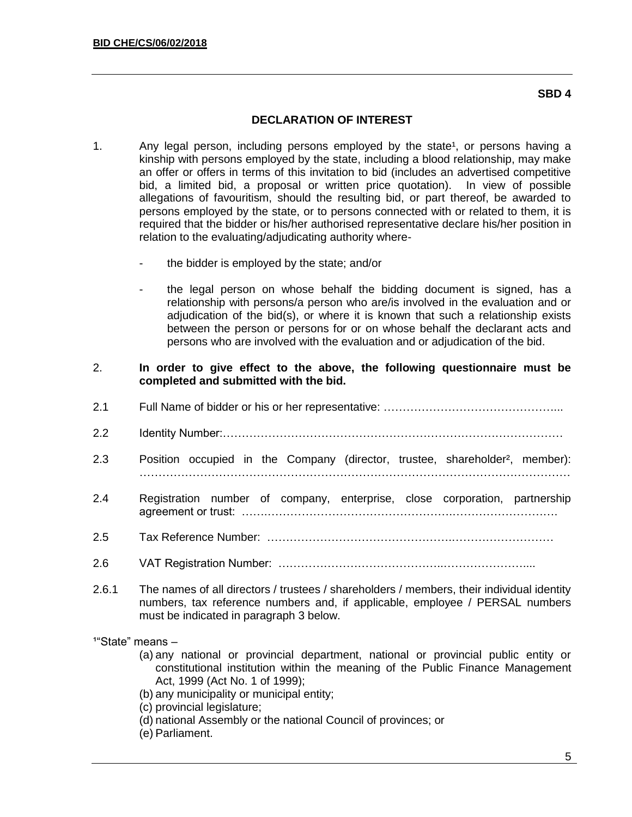### **SBD 4**

## **DECLARATION OF INTEREST**

- 1. Any legal person, including persons employed by the state<sup>1</sup>, or persons having a kinship with persons employed by the state, including a blood relationship, may make an offer or offers in terms of this invitation to bid (includes an advertised competitive bid, a limited bid, a proposal or written price quotation). In view of possible allegations of favouritism, should the resulting bid, or part thereof, be awarded to persons employed by the state, or to persons connected with or related to them, it is required that the bidder or his/her authorised representative declare his/her position in relation to the evaluating/adjudicating authority where
	- the bidder is employed by the state; and/or
	- the legal person on whose behalf the bidding document is signed, has a relationship with persons/a person who are/is involved in the evaluation and or adjudication of the bid(s), or where it is known that such a relationship exists between the person or persons for or on whose behalf the declarant acts and persons who are involved with the evaluation and or adjudication of the bid.
- 2. **In order to give effect to the above, the following questionnaire must be completed and submitted with the bid.**
- 2.1 Full Name of bidder or his or her representative: ………………………………………...
- 2.2 Identity Number:………………………………………………………………………………
- 2.3 Position occupied in the Company (director, trustee, shareholder<sup>2</sup>, member): ……………………………………………………………………………………………………
- 2.4 Registration number of company, enterprise, close corporation, partnership agreement or trust: …….………………………………………….……………………….
- 2.5 Tax Reference Number: ………………………………………….………………………
- 2.6 VAT Registration Number: ……………………………………..…………………....
- 2.6.1 The names of all directors / trustees / shareholders / members, their individual identity numbers, tax reference numbers and, if applicable, employee / PERSAL numbers must be indicated in paragraph 3 below.

 $1"$ State" means  $-$ 

- (a) any national or provincial department, national or provincial public entity or constitutional institution within the meaning of the Public Finance Management Act, 1999 (Act No. 1 of 1999);
- (b) any municipality or municipal entity;
- (c) provincial legislature;
- (d) national Assembly or the national Council of provinces; or
- (e) Parliament.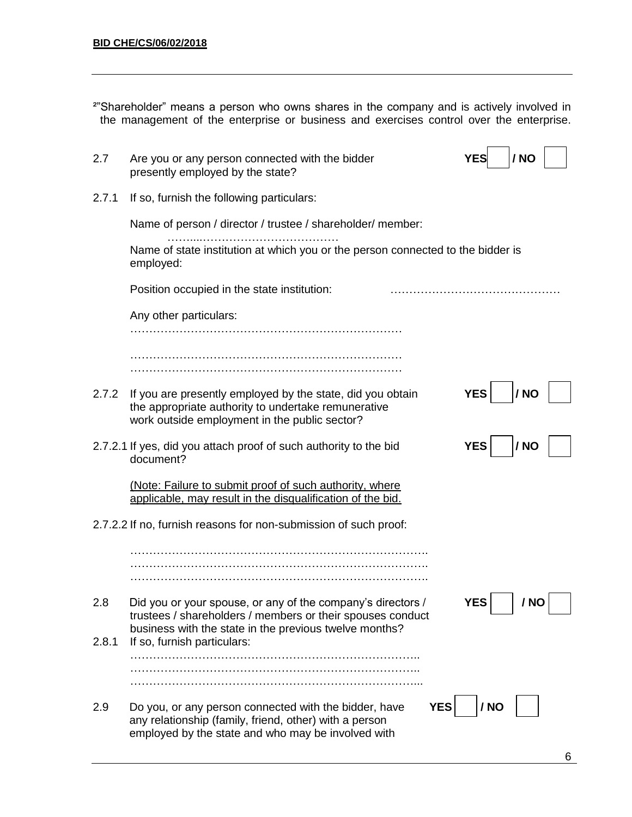| <sup>2"</sup> Shareholder" means a person who owns shares in the company and is actively involved in |  |  |  |  |  |
|------------------------------------------------------------------------------------------------------|--|--|--|--|--|
| the management of the enterprise or business and exercises control over the enterprise.              |  |  |  |  |  |

| 2.7   | Are you or any person connected with the bidder<br>presently employed by the state?                                                                                                 | / NO<br>YES        |
|-------|-------------------------------------------------------------------------------------------------------------------------------------------------------------------------------------|--------------------|
| 2.7.1 | If so, furnish the following particulars:                                                                                                                                           |                    |
|       | Name of person / director / trustee / shareholder/ member:                                                                                                                          |                    |
|       | Name of state institution at which you or the person connected to the bidder is<br>employed:                                                                                        |                    |
|       | Position occupied in the state institution:                                                                                                                                         |                    |
|       | Any other particulars:                                                                                                                                                              |                    |
|       |                                                                                                                                                                                     |                    |
| 2.7.2 | If you are presently employed by the state, did you obtain<br>the appropriate authority to undertake remunerative<br>work outside employment in the public sector?                  | <b>YES</b><br>/ NO |
|       | 2.7.2.1 If yes, did you attach proof of such authority to the bid<br>document?                                                                                                      | <b>YES</b><br>/ NO |
|       | (Note: Failure to submit proof of such authority, where<br>applicable, may result in the disqualification of the bid.                                                               |                    |
|       | 2.7.2.2 If no, furnish reasons for non-submission of such proof:                                                                                                                    |                    |
|       |                                                                                                                                                                                     |                    |
| 2.8   | Did you or your spouse, or any of the company's directors /<br>trustees / shareholders / members or their spouses conduct<br>business with the state in the previous twelve months? | <b>YES</b><br>/ NO |
| 2.8.1 | If so, furnish particulars:                                                                                                                                                         |                    |
| 2.9   | <b>YES</b><br>Do you, or any person connected with the bidder, have<br>any relationship (family, friend, other) with a person<br>employed by the state and who may be involved with | / NO               |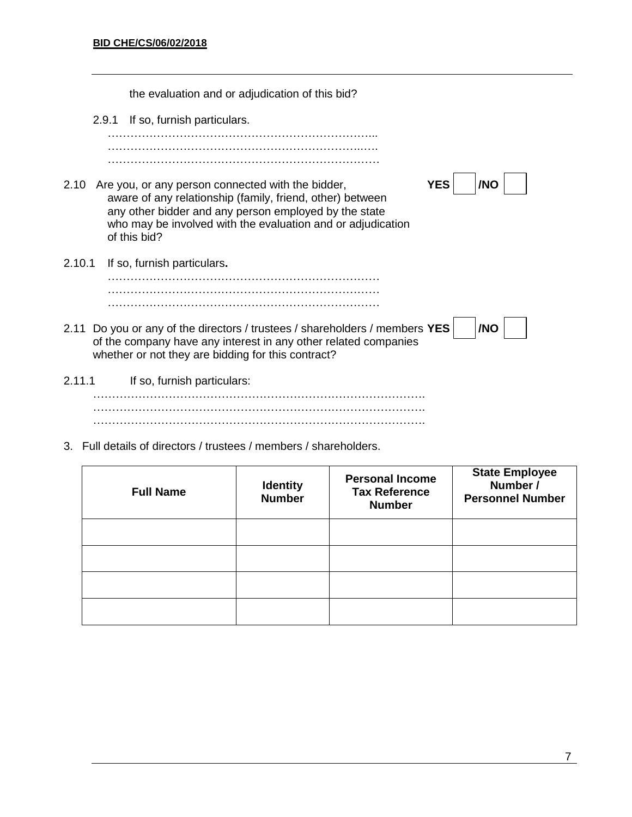the evaluation and or adjudication of this bid? 2.9.1 If so, furnish particulars. ……………………………………………………………... …………………………………………………………..…. ……………………………………………………………… 2.10 Are you, or any person connected with the bidder, **YES** YES **/NO** aware of any relationship (family, friend, other) between any other bidder and any person employed by the state who may be involved with the evaluation and or adjudication of this bid? 2.10.1 If so, furnish particulars**.** ……………………………………………………………… ……………………………………………………………… ……………………………………………………………… 2.11 Do you or any of the directors / trustees / shareholders / members **YES** | |**NO** of the company have any interest in any other related companies whether or not they are bidding for this contract? 2.11.1 If so, furnish particulars: ……………………………………………………………………………. ……………………………………………………………………………. …………………………………………………………………………….

3. Full details of directors / trustees / members / shareholders.

| <b>Full Name</b> | <b>Identity</b><br><b>Number</b> | <b>Personal Income</b><br><b>Tax Reference</b><br><b>Number</b> | <b>State Employee</b><br>Number /<br><b>Personnel Number</b> |
|------------------|----------------------------------|-----------------------------------------------------------------|--------------------------------------------------------------|
|                  |                                  |                                                                 |                                                              |
|                  |                                  |                                                                 |                                                              |
|                  |                                  |                                                                 |                                                              |
|                  |                                  |                                                                 |                                                              |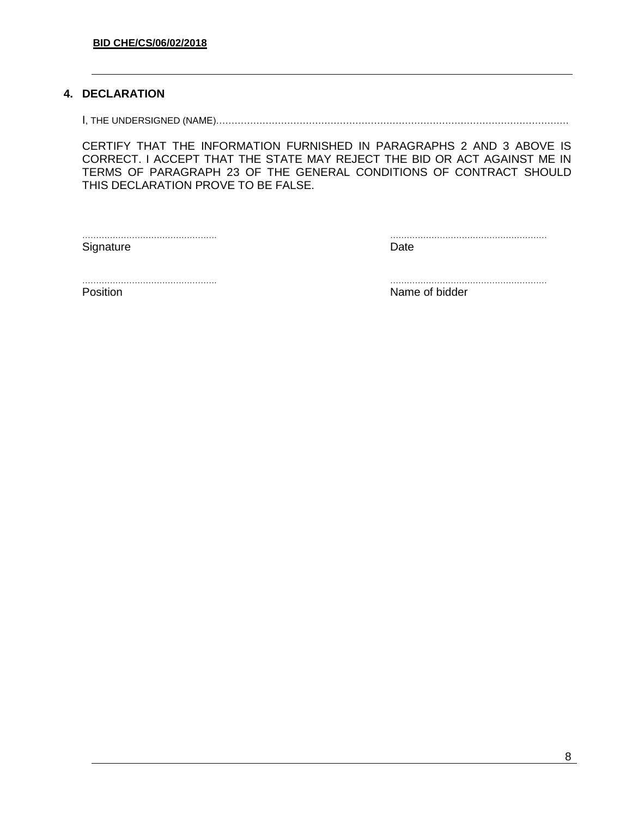## **4. DECLARATION**

I, THE UNDERSIGNED (NAME)……………………………………………………………………………………………………

CERTIFY THAT THE INFORMATION FURNISHED IN PARAGRAPHS 2 AND 3 ABOVE IS CORRECT. I ACCEPT THAT THE STATE MAY REJECT THE BID OR ACT AGAINST ME IN TERMS OF PARAGRAPH 23 OF THE GENERAL CONDITIONS OF CONTRACT SHOULD THIS DECLARATION PROVE TO BE FALSE.

Signature Date **Date** 

…………………………………………. …………………………………………………

…………………………………………. …………………………………………………

Position **Name of bidder Name of bidder**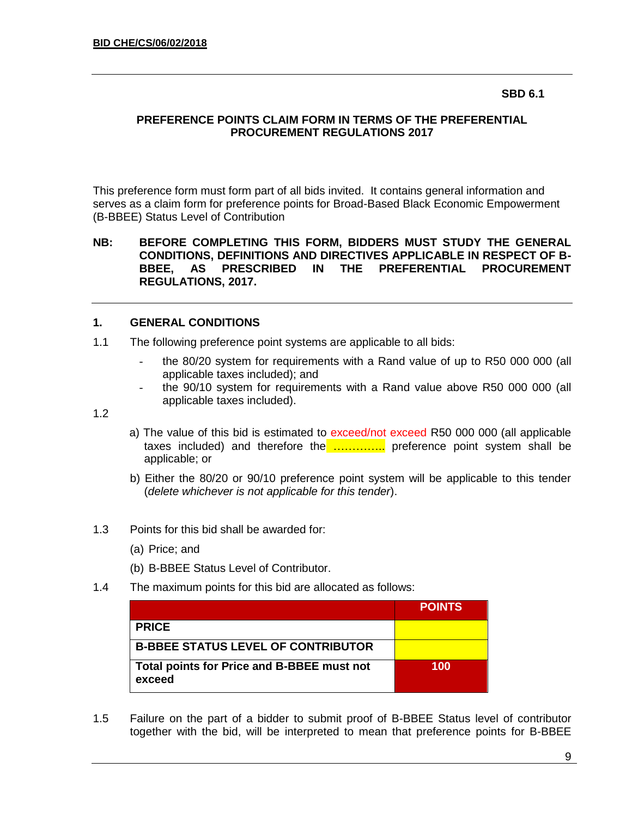### **SBD 6.1**

## **PREFERENCE POINTS CLAIM FORM IN TERMS OF THE PREFERENTIAL PROCUREMENT REGULATIONS 2017**

This preference form must form part of all bids invited. It contains general information and serves as a claim form for preference points for Broad-Based Black Economic Empowerment (B-BBEE) Status Level of Contribution

### **NB: BEFORE COMPLETING THIS FORM, BIDDERS MUST STUDY THE GENERAL CONDITIONS, DEFINITIONS AND DIRECTIVES APPLICABLE IN RESPECT OF B-BBEE, AS PRESCRIBED IN THE PREFERENTIAL PROCUREMENT REGULATIONS, 2017.**

## **1. GENERAL CONDITIONS**

- 1.1 The following preference point systems are applicable to all bids:
	- the 80/20 system for requirements with a Rand value of up to R50 000 000 (all applicable taxes included); and
	- the 90/10 system for requirements with a Rand value above R50 000 000 (all applicable taxes included).

1.2

- a) The value of this bid is estimated to exceed/not exceed R50 000 000 (all applicable taxes included) and therefore the ................ preference point system shall be applicable; or
- b) Either the 80/20 or 90/10 preference point system will be applicable to this tender (*delete whichever is not applicable for this tender*).
- 1.3 Points for this bid shall be awarded for:
	- (a) Price; and
	- (b) B-BBEE Status Level of Contributor.
- 1.4 The maximum points for this bid are allocated as follows:

|                                                      | <b>POINTS</b> |
|------------------------------------------------------|---------------|
| <b>PRICE</b>                                         |               |
| <b>B-BBEE STATUS LEVEL OF CONTRIBUTOR</b>            |               |
| Total points for Price and B-BBEE must not<br>exceed | 100           |

1.5 Failure on the part of a bidder to submit proof of B-BBEE Status level of contributor together with the bid, will be interpreted to mean that preference points for B-BBEE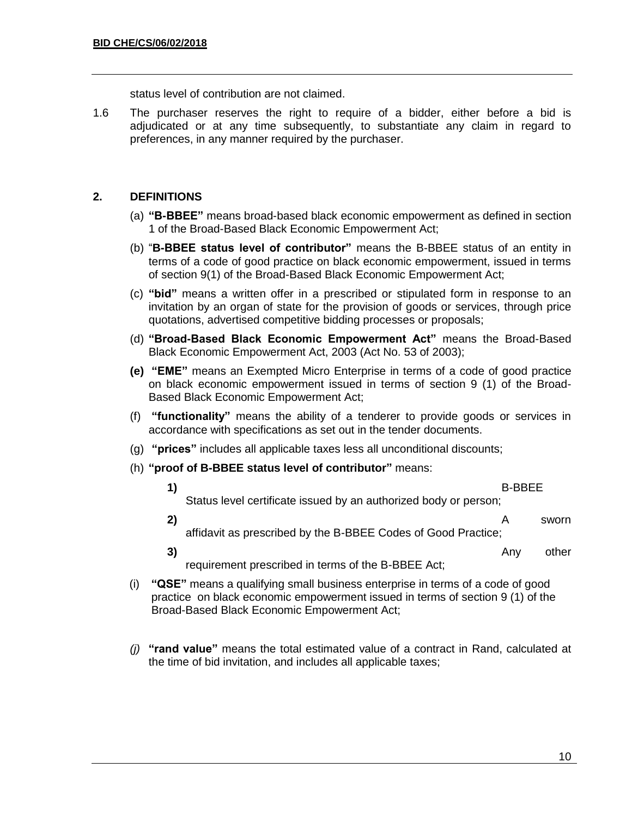status level of contribution are not claimed.

1.6 The purchaser reserves the right to require of a bidder, either before a bid is adjudicated or at any time subsequently, to substantiate any claim in regard to preferences, in any manner required by the purchaser.

## **2. DEFINITIONS**

- (a) **"B-BBEE"** means broad-based black economic empowerment as defined in section 1 of the Broad-Based Black Economic Empowerment Act;
- (b) "**B-BBEE status level of contributor"** means the B-BBEE status of an entity in terms of a code of good practice on black economic empowerment, issued in terms of section 9(1) of the Broad-Based Black Economic Empowerment Act;
- (c) **"bid"** means a written offer in a prescribed or stipulated form in response to an invitation by an organ of state for the provision of goods or services, through price quotations, advertised competitive bidding processes or proposals;
- (d) **"Broad-Based Black Economic Empowerment Act"** means the Broad-Based Black Economic Empowerment Act, 2003 (Act No. 53 of 2003);
- **(e) "EME"** means an Exempted Micro Enterprise in terms of a code of good practice on black economic empowerment issued in terms of section 9 (1) of the Broad-Based Black Economic Empowerment Act;
- (f) **"functionality"** means the ability of a tenderer to provide goods or services in accordance with specifications as set out in the tender documents.
- (g) **"prices"** includes all applicable taxes less all unconditional discounts;
- (h) **"proof of B-BBEE status level of contributor"** means:
	- **1)** B-BBEE Status level certificate issued by an authorized body or person; **2)** A sworn
		- affidavit as prescribed by the B-BBEE Codes of Good Practice;
		- **3)** Any other requirement prescribed in terms of the B-BBEE Act;
- (i) **"QSE"** means a qualifying small business enterprise in terms of a code of good practice on black economic empowerment issued in terms of section 9 (1) of the Broad-Based Black Economic Empowerment Act;
- *(j)* **"rand value"** means the total estimated value of a contract in Rand, calculated at the time of bid invitation, and includes all applicable taxes;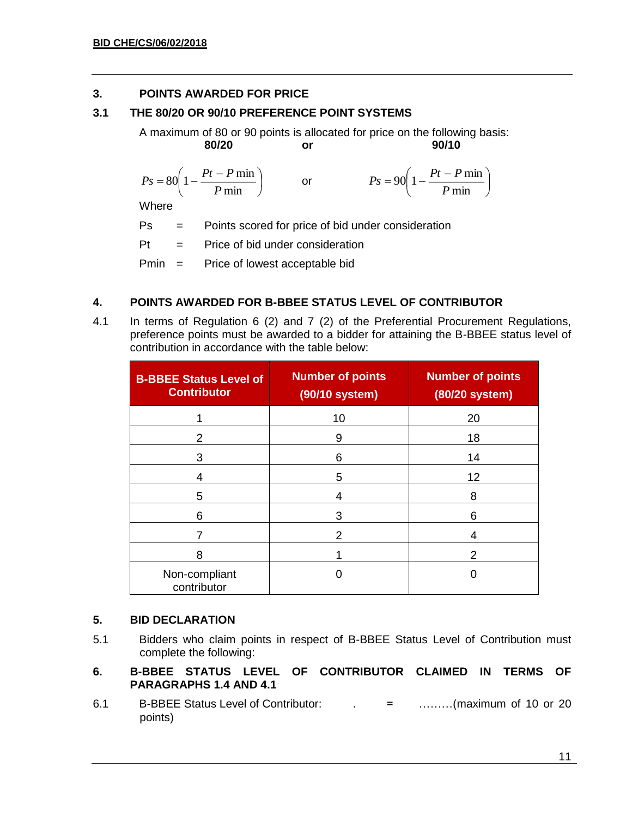## **3. POINTS AWARDED FOR PRICE**

## **3.1 THE 80/20 OR 90/10 PREFERENCE POINT SYSTEMS**

A maximum of 80 or 90 points is allocated for price on the following basis: **80/20 or 90/10**

I J  $\left(1-\frac{Pt-P\min}{\epsilon}\right)$ l  $= 80 \left( 1 - \frac{Pt - P \text{ m}}{P \text{ min}} \right)$  $80 \left(1 - \frac{Pt - P \min}{\sigma} \right)$ *P*  $P_s = 80 \left( 1 - \frac{Pt - P}{F} \right)$ or I J  $\left(1-\frac{Pt-P\min}{\epsilon}\right)$ l  $= 90 \left(1 - \frac{Pt - P \ln \theta}{P \min \theta}\right)$  $90 \left( 1 - \frac{Pt - P \min}{\sigma} \right)$ *P*  $P_s = 90 \left( 1 - \frac{Pt - P}{F} \right)$ **Where** 

Ps = Points scored for price of bid under consideration

 $Pt =$  Price of bid under consideration

Pmin = Price of lowest acceptable bid

## **4. POINTS AWARDED FOR B-BBEE STATUS LEVEL OF CONTRIBUTOR**

4.1 In terms of Regulation 6 (2) and 7 (2) of the Preferential Procurement Regulations, preference points must be awarded to a bidder for attaining the B-BBEE status level of contribution in accordance with the table below:

| <b>B-BBEE Status Level of</b><br><b>Contributor</b> | <b>Number of points</b><br>(90/10 system) | <b>Number of points</b><br>(80/20 system) |
|-----------------------------------------------------|-------------------------------------------|-------------------------------------------|
|                                                     | 10                                        | 20                                        |
| 2                                                   | 9                                         | 18                                        |
| 3                                                   | 6                                         | 14                                        |
| 4                                                   | 5                                         | 12                                        |
| 5                                                   | 4                                         | 8                                         |
| 6                                                   | 3                                         | 6                                         |
|                                                     | 2                                         |                                           |
| 8                                                   |                                           | 2                                         |
| Non-compliant<br>contributor                        |                                           |                                           |

## **5. BID DECLARATION**

- 5.1 Bidders who claim points in respect of B-BBEE Status Level of Contribution must complete the following:
- **6. B-BBEE STATUS LEVEL OF CONTRIBUTOR CLAIMED IN TERMS OF PARAGRAPHS 1.4 AND 4.1**
- 6.1 B-BBEE Status Level of Contributor: . = ………(maximum of 10 or 20 points)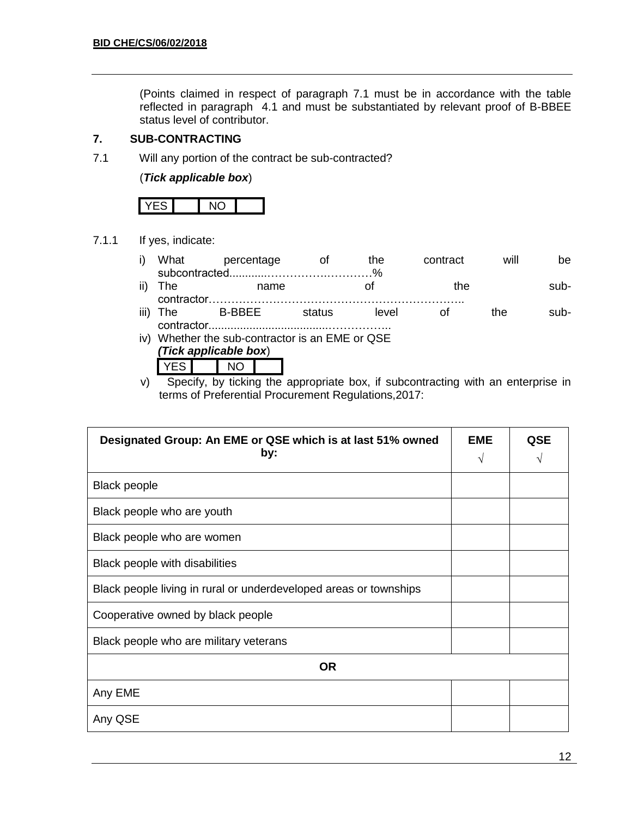(Points claimed in respect of paragraph 7.1 must be in accordance with the table reflected in paragraph 4.1 and must be substantiated by relevant proof of B-BBEE status level of contributor.

## **7. SUB-CONTRACTING**

7.1 Will any portion of the contract be sub-contracted?

(*Tick applicable box*)

7.1.1 If yes, indicate:

| i) What | percentage | the t | contract | will | be.  |
|---------|------------|-------|----------|------|------|
|         |            |       |          |      |      |
| ii) The | name       |       | the      |      | sub- |

|      | $\cdots$ | . | . .   | . |     | .    |
|------|----------|---|-------|---|-----|------|
|      |          |   |       |   |     |      |
| iii) |          |   | level |   | the | .uh- |
|      |          |   |       |   |     |      |

- iv) Whether the sub-contractor is an EME or QSE *(Tick applicable box*)
	- YES NO

v) Specify, by ticking the appropriate box, if subcontracting with an enterprise in terms of Preferential Procurement Regulations,2017:

| Designated Group: An EME or QSE which is at last 51% owned<br>by: | <b>EME</b><br>$\sqrt{}$ | <b>QSE</b> |
|-------------------------------------------------------------------|-------------------------|------------|
| <b>Black people</b>                                               |                         |            |
| Black people who are youth                                        |                         |            |
| Black people who are women                                        |                         |            |
| Black people with disabilities                                    |                         |            |
| Black people living in rural or underdeveloped areas or townships |                         |            |
| Cooperative owned by black people                                 |                         |            |
| Black people who are military veterans                            |                         |            |
| <b>OR</b>                                                         |                         |            |
| Any EME                                                           |                         |            |
| Any QSE                                                           |                         |            |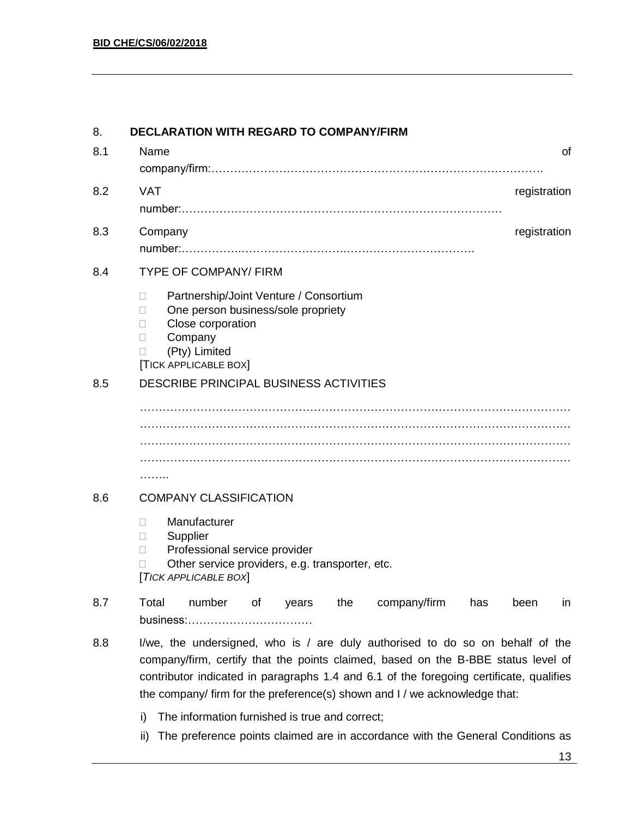| 8.  | <b>DECLARATION WITH REGARD TO COMPANY/FIRM</b>                                                                                                                                                                                                                                                                                              |
|-----|---------------------------------------------------------------------------------------------------------------------------------------------------------------------------------------------------------------------------------------------------------------------------------------------------------------------------------------------|
| 8.1 | Name<br>οf                                                                                                                                                                                                                                                                                                                                  |
| 8.2 | <b>VAT</b><br>registration                                                                                                                                                                                                                                                                                                                  |
| 8.3 | registration<br>Company                                                                                                                                                                                                                                                                                                                     |
| 8.4 | <b>TYPE OF COMPANY/ FIRM</b>                                                                                                                                                                                                                                                                                                                |
|     | Partnership/Joint Venture / Consortium<br>П<br>One person business/sole propriety<br>П<br>Close corporation<br>П<br>Company<br>$\Box$<br>(Pty) Limited<br>П<br>[TICK APPLICABLE BOX]                                                                                                                                                        |
| 8.5 | DESCRIBE PRINCIPAL BUSINESS ACTIVITIES                                                                                                                                                                                                                                                                                                      |
|     |                                                                                                                                                                                                                                                                                                                                             |
|     |                                                                                                                                                                                                                                                                                                                                             |
|     |                                                                                                                                                                                                                                                                                                                                             |
|     | .                                                                                                                                                                                                                                                                                                                                           |
| 8.6 | <b>COMPANY CLASSIFICATION</b>                                                                                                                                                                                                                                                                                                               |
|     | Manufacturer<br>П<br>Supplier<br>П<br>Professional service provider<br>П<br>Other service providers, e.g. transporter, etc.<br>[TICK APPLICABLE BOX]                                                                                                                                                                                        |
| 8.7 | Total<br>number<br>the<br>company/firm<br>of<br>has<br>been<br>years<br>in<br>business:                                                                                                                                                                                                                                                     |
| 8.8 | I/we, the undersigned, who is / are duly authorised to do so on behalf of the<br>company/firm, certify that the points claimed, based on the B-BBE status level of<br>contributor indicated in paragraphs 1.4 and 6.1 of the foregoing certificate, qualifies<br>the company/ firm for the preference(s) shown and I / we acknowledge that: |

- i) The information furnished is true and correct;
- ii) The preference points claimed are in accordance with the General Conditions as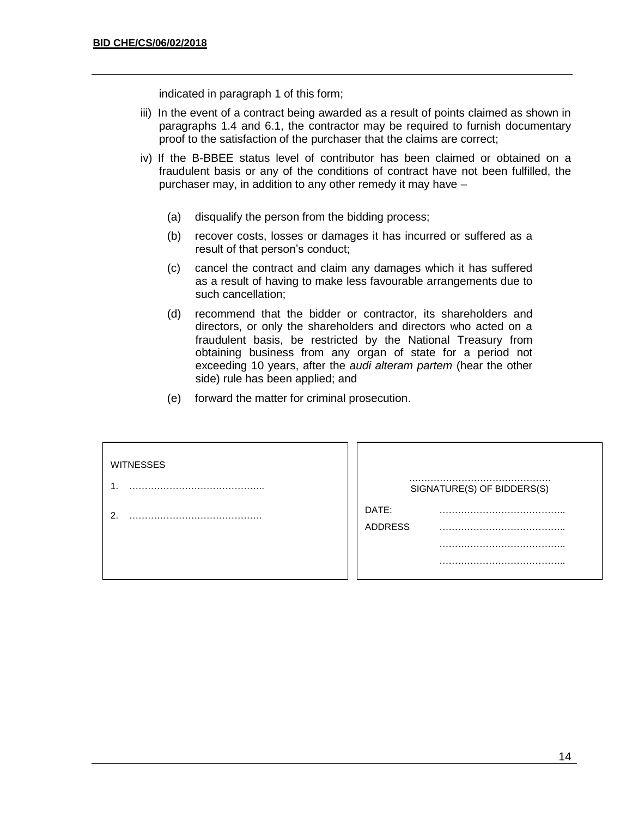indicated in paragraph 1 of this form;

- iii) In the event of a contract being awarded as a result of points claimed as shown in paragraphs 1.4 and 6.1, the contractor may be required to furnish documentary proof to the satisfaction of the purchaser that the claims are correct;
- iv) If the B-BBEE status level of contributor has been claimed or obtained on a fraudulent basis or any of the conditions of contract have not been fulfilled, the purchaser may, in addition to any other remedy it may have –
	- (a) disqualify the person from the bidding process;
	- (b) recover costs, losses or damages it has incurred or suffered as a result of that person's conduct;
	- (c) cancel the contract and claim any damages which it has suffered as a result of having to make less favourable arrangements due to such cancellation;
	- (d) recommend that the bidder or contractor, its shareholders and directors, or only the shareholders and directors who acted on a fraudulent basis, be restricted by the National Treasury from obtaining business from any organ of state for a period not exceeding 10 years, after the *audi alteram partem* (hear the other side) rule has been applied; and
	- (e) forward the matter for criminal prosecution.

| <b>WITNESSES</b> | SIGNATURE(S) OF BIDDERS(S) |
|------------------|----------------------------|
| ◠                | DATE:<br><b>ADDRESS</b>    |
|                  |                            |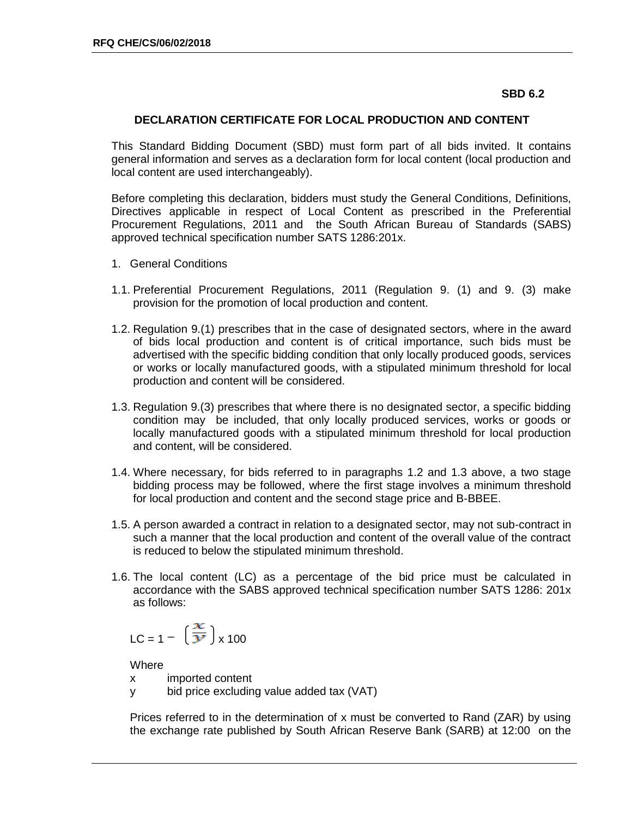### **SBD 6.2**

### **DECLARATION CERTIFICATE FOR LOCAL PRODUCTION AND CONTENT**

This Standard Bidding Document (SBD) must form part of all bids invited. It contains general information and serves as a declaration form for local content (local production and local content are used interchangeably).

Before completing this declaration, bidders must study the General Conditions, Definitions, Directives applicable in respect of Local Content as prescribed in the Preferential Procurement Regulations, 2011 and the South African Bureau of Standards (SABS) approved technical specification number SATS 1286:201x.

- 1. General Conditions
- 1.1. Preferential Procurement Regulations, 2011 (Regulation 9. (1) and 9. (3) make provision for the promotion of local production and content.
- 1.2. Regulation 9.(1) prescribes that in the case of designated sectors, where in the award of bids local production and content is of critical importance, such bids must be advertised with the specific bidding condition that only locally produced goods, services or works or locally manufactured goods, with a stipulated minimum threshold for local production and content will be considered.
- 1.3. Regulation 9.(3) prescribes that where there is no designated sector, a specific bidding condition may be included, that only locally produced services, works or goods or locally manufactured goods with a stipulated minimum threshold for local production and content, will be considered.
- 1.4. Where necessary, for bids referred to in paragraphs 1.2 and 1.3 above, a two stage bidding process may be followed, where the first stage involves a minimum threshold for local production and content and the second stage price and B-BBEE.
- 1.5. A person awarded a contract in relation to a designated sector, may not sub-contract in such a manner that the local production and content of the overall value of the contract is reduced to below the stipulated minimum threshold.
- 1.6. The local content (LC) as a percentage of the bid price must be calculated in accordance with the SABS approved technical specification number SATS 1286: 201x as follows:

$$
LC = 1 - \left(\frac{x}{y}\right) \times 100
$$

**Where** 

- x imported content
- y bid price excluding value added tax (VAT)

Prices referred to in the determination of x must be converted to Rand (ZAR) by using the exchange rate published by South African Reserve Bank (SARB) at 12:00 on the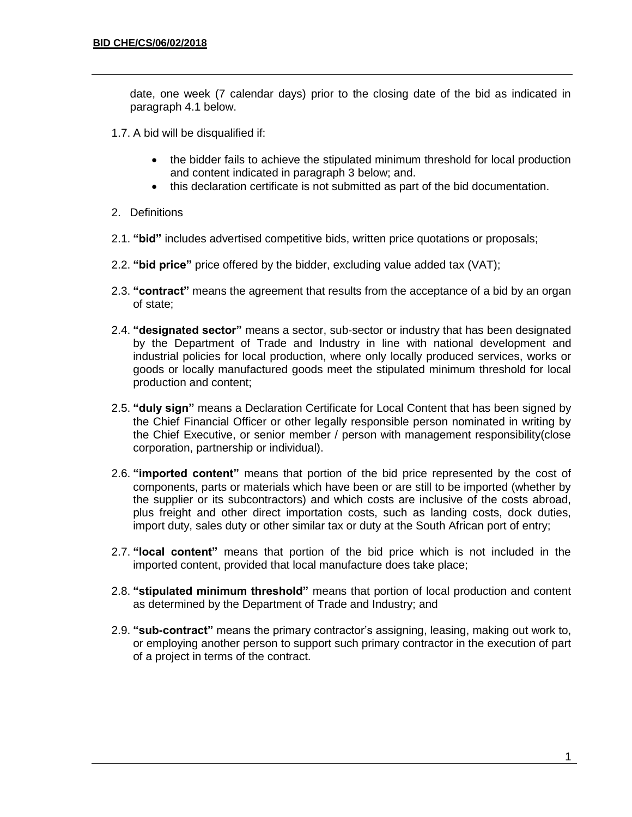date, one week (7 calendar days) prior to the closing date of the bid as indicated in paragraph 4.1 below.

- 1.7. A bid will be disqualified if:
	- the bidder fails to achieve the stipulated minimum threshold for local production and content indicated in paragraph 3 below; and.
	- this declaration certificate is not submitted as part of the bid documentation.
- 2. Definitions
- 2.1. **"bid"** includes advertised competitive bids, written price quotations or proposals;
- 2.2. **"bid price"** price offered by the bidder, excluding value added tax (VAT);
- 2.3. **"contract"** means the agreement that results from the acceptance of a bid by an organ of state;
- 2.4. **"designated sector"** means a sector, sub-sector or industry that has been designated by the Department of Trade and Industry in line with national development and industrial policies for local production, where only locally produced services, works or goods or locally manufactured goods meet the stipulated minimum threshold for local production and content;
- 2.5. **"duly sign"** means a Declaration Certificate for Local Content that has been signed by the Chief Financial Officer or other legally responsible person nominated in writing by the Chief Executive, or senior member / person with management responsibility(close corporation, partnership or individual).
- 2.6. **"imported content"** means that portion of the bid price represented by the cost of components, parts or materials which have been or are still to be imported (whether by the supplier or its subcontractors) and which costs are inclusive of the costs abroad, plus freight and other direct importation costs, such as landing costs, dock duties, import duty, sales duty or other similar tax or duty at the South African port of entry;
- 2.7. **"local content"** means that portion of the bid price which is not included in the imported content, provided that local manufacture does take place;
- 2.8. **"stipulated minimum threshold"** means that portion of local production and content as determined by the Department of Trade and Industry; and
- 2.9. **"sub-contract"** means the primary contractor's assigning, leasing, making out work to, or employing another person to support such primary contractor in the execution of part of a project in terms of the contract.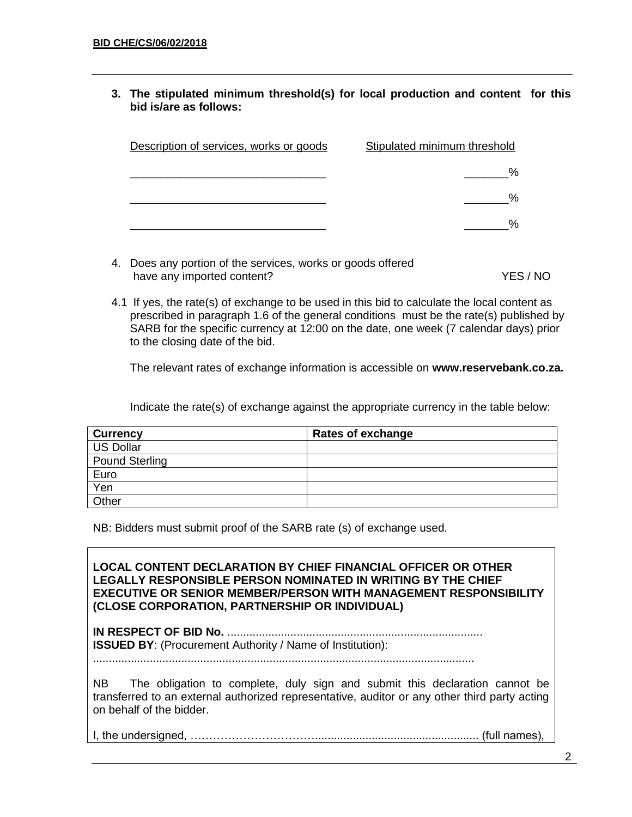**3. The stipulated minimum threshold(s) for local production and content for this bid is/are as follows:**

| Description of services, works or goods | Stipulated minimum threshold |
|-----------------------------------------|------------------------------|
|                                         |                              |
|                                         | %                            |
|                                         | $\%$                         |

- 4. Does any portion of the services, works or goods offered have any imported content? YES / NO
- 4.1 If yes, the rate(s) of exchange to be used in this bid to calculate the local content as prescribed in paragraph 1.6 of the general conditions must be the rate(s) published by SARB for the specific currency at 12:00 on the date, one week (7 calendar days) prior to the closing date of the bid.

The relevant rates of exchange information is accessible on **www.reservebank.co.za.**

Indicate the rate(s) of exchange against the appropriate currency in the table below:

| ∣ Currency     | Rates of exchange |
|----------------|-------------------|
| US Dollar      |                   |
| Pound Sterling |                   |
| Euro           |                   |
| Yen            |                   |
| Other          |                   |

NB: Bidders must submit proof of the SARB rate (s) of exchange used.

**LOCAL CONTENT DECLARATION BY CHIEF FINANCIAL OFFICER OR OTHER LEGALLY RESPONSIBLE PERSON NOMINATED IN WRITING BY THE CHIEF EXECUTIVE OR SENIOR MEMBER/PERSON WITH MANAGEMENT RESPONSIBILITY (CLOSE CORPORATION, PARTNERSHIP OR INDIVIDUAL) IN RESPECT OF BID No.** ................................................................................. **ISSUED BY**: (Procurement Authority / Name of Institution): ......................................................................................................................... NB The obligation to complete, duly sign and submit this declaration cannot be transferred to an external authorized representative, auditor or any other third party acting on behalf of the bidder.

I, the undersigned, …………………………….................................................... (full names),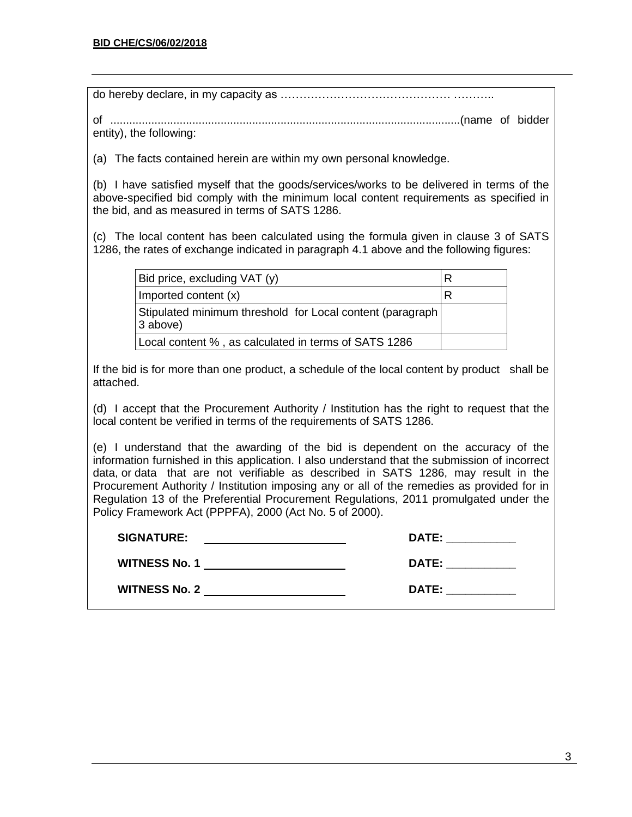| entity), the following:                                                                                                                                                                                                                                                                                                                                                                                                                                                                                                    |                 |  |  |
|----------------------------------------------------------------------------------------------------------------------------------------------------------------------------------------------------------------------------------------------------------------------------------------------------------------------------------------------------------------------------------------------------------------------------------------------------------------------------------------------------------------------------|-----------------|--|--|
| (a) The facts contained herein are within my own personal knowledge.                                                                                                                                                                                                                                                                                                                                                                                                                                                       |                 |  |  |
| (b) I have satisfied myself that the goods/services/works to be delivered in terms of the<br>above-specified bid comply with the minimum local content requirements as specified in<br>the bid, and as measured in terms of SATS 1286.                                                                                                                                                                                                                                                                                     |                 |  |  |
| (c) The local content has been calculated using the formula given in clause 3 of SATS<br>1286, the rates of exchange indicated in paragraph 4.1 above and the following figures:                                                                                                                                                                                                                                                                                                                                           |                 |  |  |
| Bid price, excluding VAT (y)                                                                                                                                                                                                                                                                                                                                                                                                                                                                                               | $R_{\parallel}$ |  |  |
| Imported content (x)                                                                                                                                                                                                                                                                                                                                                                                                                                                                                                       | R               |  |  |
| Stipulated minimum threshold for Local content (paragraph<br>3 above)                                                                                                                                                                                                                                                                                                                                                                                                                                                      |                 |  |  |
| Local content %, as calculated in terms of SATS 1286                                                                                                                                                                                                                                                                                                                                                                                                                                                                       |                 |  |  |
| If the bid is for more than one product, a schedule of the local content by product shall be<br>attached.                                                                                                                                                                                                                                                                                                                                                                                                                  |                 |  |  |
| (d) I accept that the Procurement Authority / Institution has the right to request that the<br>local content be verified in terms of the requirements of SATS 1286.                                                                                                                                                                                                                                                                                                                                                        |                 |  |  |
| (e) I understand that the awarding of the bid is dependent on the accuracy of the<br>information furnished in this application. I also understand that the submission of incorrect<br>data, or data that are not verifiable as described in SATS 1286, may result in the<br>Procurement Authority / Institution imposing any or all of the remedies as provided for in<br>Regulation 13 of the Preferential Procurement Regulations, 2011 promulgated under the<br>Policy Framework Act (PPPFA), 2000 (Act No. 5 of 2000). |                 |  |  |
| DATE: ___________<br><b>SIGNATURE:</b>                                                                                                                                                                                                                                                                                                                                                                                                                                                                                     |                 |  |  |
| DATE: the contract of the contract of the contract of the contract of the contract of the contract of the contract of the contract of the contract of the contract of the contract of the contract of the contract of the cont<br>WITNESS No. 1 And the United States of the United States of the United States of the United States of the United States of the United States of the United States of the United States of the United States of the United Stat                                                           |                 |  |  |
| DATE: the contract of the contract of the contract of the contract of the contract of the contract of the contract of the contract of the contract of the contract of the contract of the contract of the contract of the cont<br>WITNESS No. 2 and 2 and 2 and 2 and 2 and 2 and 2 and 2 and 2 and 2 and 2 and 2 and 2 and 2 and 2 and 2 and 2 and 2 and 2 and 2 and 2 and 2 and 2 and 2 and 2 and 2 and 2 and 2 and 2 and 2 and 2 and 2 and 2 and 2 and 2 and                                                            |                 |  |  |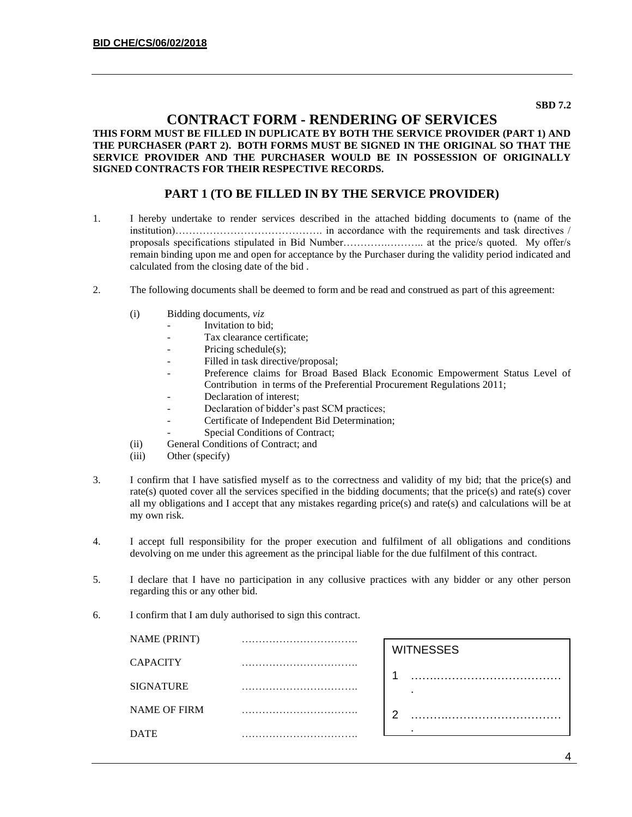#### **SBD 7.2**

### **CONTRACT FORM - RENDERING OF SERVICES**

#### **THIS FORM MUST BE FILLED IN DUPLICATE BY BOTH THE SERVICE PROVIDER (PART 1) AND THE PURCHASER (PART 2). BOTH FORMS MUST BE SIGNED IN THE ORIGINAL SO THAT THE SERVICE PROVIDER AND THE PURCHASER WOULD BE IN POSSESSION OF ORIGINALLY SIGNED CONTRACTS FOR THEIR RESPECTIVE RECORDS.**

#### **PART 1 (TO BE FILLED IN BY THE SERVICE PROVIDER)**

- 1. I hereby undertake to render services described in the attached bidding documents to (name of the institution)……………………………………. in accordance with the requirements and task directives / proposals specifications stipulated in Bid Number………….……….. at the price/s quoted. My offer/s remain binding upon me and open for acceptance by the Purchaser during the validity period indicated and calculated from the closing date of the bid .
- 2. The following documents shall be deemed to form and be read and construed as part of this agreement:
	- (i) Bidding documents, *viz*
		- *-* Invitation to bid;
		- *-* Tax clearance certificate;
		- Pricing schedule(s);
		- Filled in task directive/proposal;
		- *-* Preference claims for Broad Based Black Economic Empowerment Status Level of Contribution in terms of the Preferential Procurement Regulations 2011;
		- *-* Declaration of interest;
		- *-* Declaration of bidder's past SCM practices;
		- *-* Certificate of Independent Bid Determination;
		- **Special Conditions of Contract;**
	- (ii) General Conditions of Contract; and
	- (iii) Other (specify)
- 3. I confirm that I have satisfied myself as to the correctness and validity of my bid; that the price(s) and rate(s) quoted cover all the services specified in the bidding documents; that the price(s) and rate(s) cover all my obligations and I accept that any mistakes regarding price(s) and rate(s) and calculations will be at my own risk.
- 4. I accept full responsibility for the proper execution and fulfilment of all obligations and conditions devolving on me under this agreement as the principal liable for the due fulfilment of this contract.
- 5. I declare that I have no participation in any collusive practices with any bidder or any other person regarding this or any other bid.
- 6. I confirm that I am duly authorised to sign this contract.

| <b>NAME (PRINT)</b> |   |                  |
|---------------------|---|------------------|
|                     |   | <b>WITNESSES</b> |
| <b>CAPACITY</b>     | . |                  |
| <b>SIGNATURE</b>    |   |                  |
| <b>NAME OF FIRM</b> |   | ◠                |
| <b>DATE</b>         | . |                  |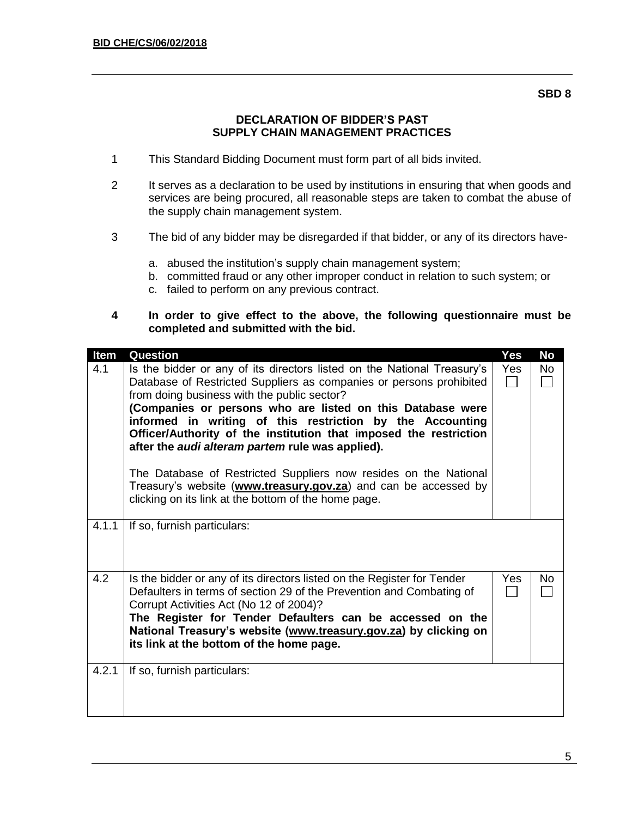#### **SBD 8**

### **DECLARATION OF BIDDER'S PAST SUPPLY CHAIN MANAGEMENT PRACTICES**

- 1 This Standard Bidding Document must form part of all bids invited.
- 2 It serves as a declaration to be used by institutions in ensuring that when goods and services are being procured, all reasonable steps are taken to combat the abuse of the supply chain management system.
- 3 The bid of any bidder may be disregarded if that bidder, or any of its directors have
	- a. abused the institution's supply chain management system;
	- b. committed fraud or any other improper conduct in relation to such system; or
	- c. failed to perform on any previous contract.
- **4 In order to give effect to the above, the following questionnaire must be completed and submitted with the bid.**

| Item  | Question                                                                                                                                                                                                                                                                                                                                                                                                                                                                                                                                                                                                                                                | Yes        | <b>No</b> |
|-------|---------------------------------------------------------------------------------------------------------------------------------------------------------------------------------------------------------------------------------------------------------------------------------------------------------------------------------------------------------------------------------------------------------------------------------------------------------------------------------------------------------------------------------------------------------------------------------------------------------------------------------------------------------|------------|-----------|
| 4.1   | Is the bidder or any of its directors listed on the National Treasury's<br>Database of Restricted Suppliers as companies or persons prohibited<br>from doing business with the public sector?<br>(Companies or persons who are listed on this Database were<br>informed in writing of this restriction by the Accounting<br>Officer/Authority of the institution that imposed the restriction<br>after the <i>audi alteram partem</i> rule was applied).<br>The Database of Restricted Suppliers now resides on the National<br>Treasury's website (www.treasury.gov.za) and can be accessed by<br>clicking on its link at the bottom of the home page. | <b>Yes</b> | No        |
|       |                                                                                                                                                                                                                                                                                                                                                                                                                                                                                                                                                                                                                                                         |            |           |
| 4.1.1 | If so, furnish particulars:                                                                                                                                                                                                                                                                                                                                                                                                                                                                                                                                                                                                                             |            |           |
| 4.2   | Is the bidder or any of its directors listed on the Register for Tender<br>Defaulters in terms of section 29 of the Prevention and Combating of<br>Corrupt Activities Act (No 12 of 2004)?<br>The Register for Tender Defaulters can be accessed on the<br>National Treasury's website (www.treasury.gov.za) by clicking on<br>its link at the bottom of the home page.                                                                                                                                                                                                                                                                                 | Yes.       | No.       |
| 4.2.1 | If so, furnish particulars:                                                                                                                                                                                                                                                                                                                                                                                                                                                                                                                                                                                                                             |            |           |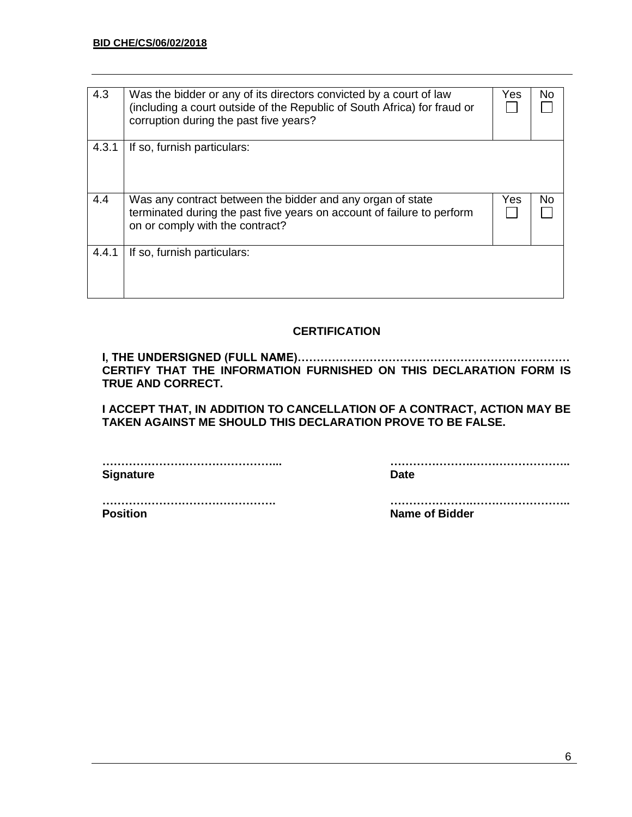| 4.3   | Was the bidder or any of its directors convicted by a court of law<br>(including a court outside of the Republic of South Africa) for fraud or<br>corruption during the past five years? | Yes | No  |
|-------|------------------------------------------------------------------------------------------------------------------------------------------------------------------------------------------|-----|-----|
| 4.3.1 | If so, furnish particulars:                                                                                                                                                              |     |     |
| 4.4   | Was any contract between the bidder and any organ of state<br>terminated during the past five years on account of failure to perform<br>on or comply with the contract?                  | Yes | No. |
| 4.4.1 | If so, furnish particulars:                                                                                                                                                              |     |     |

## **CERTIFICATION**

**I, THE UNDERSIGNED (FULL NAME)……………………………………………………………… CERTIFY THAT THE INFORMATION FURNISHED ON THIS DECLARATION FORM IS TRUE AND CORRECT.**

**I ACCEPT THAT, IN ADDITION TO CANCELLATION OF A CONTRACT, ACTION MAY BE TAKEN AGAINST ME SHOULD THIS DECLARATION PROVE TO BE FALSE.**

**Signature Date** 

**………………………………………... ………………….……………………..**

**………………………………………. ………………….…………………….. Position Name of Bidder**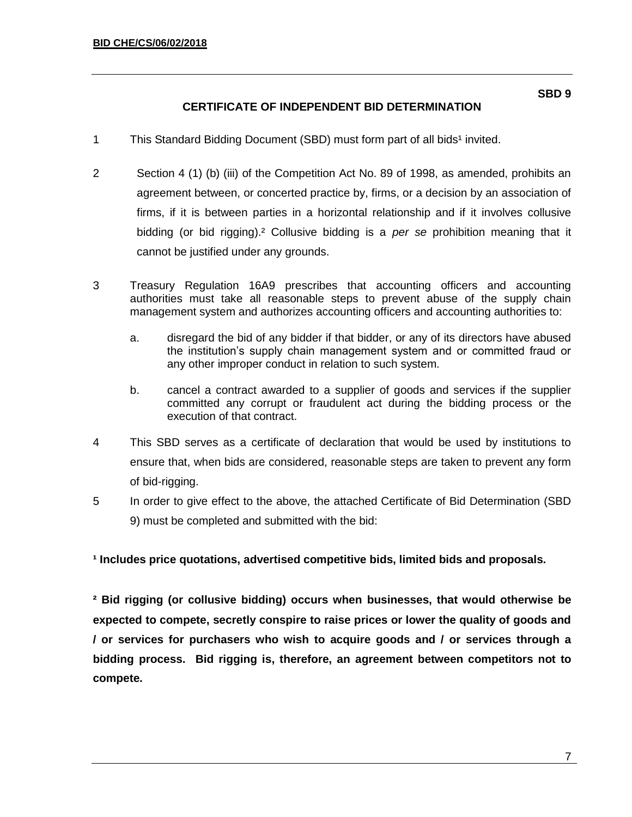- 1 This Standard Bidding Document (SBD) must form part of all bids<sup>1</sup> invited.
- 2 Section 4 (1) (b) (iii) of the Competition Act No. 89 of 1998, as amended, prohibits an agreement between, or concerted practice by, firms, or a decision by an association of firms, if it is between parties in a horizontal relationship and if it involves collusive bidding (or bid rigging).² Collusive bidding is a *per se* prohibition meaning that it cannot be justified under any grounds.
- 3 Treasury Regulation 16A9 prescribes that accounting officers and accounting authorities must take all reasonable steps to prevent abuse of the supply chain management system and authorizes accounting officers and accounting authorities to:
	- a. disregard the bid of any bidder if that bidder, or any of its directors have abused the institution's supply chain management system and or committed fraud or any other improper conduct in relation to such system.
	- b. cancel a contract awarded to a supplier of goods and services if the supplier committed any corrupt or fraudulent act during the bidding process or the execution of that contract.
- 4 This SBD serves as a certificate of declaration that would be used by institutions to ensure that, when bids are considered, reasonable steps are taken to prevent any form of bid-rigging.
- 5 In order to give effect to the above, the attached Certificate of Bid Determination (SBD 9) must be completed and submitted with the bid:

**¹ Includes price quotations, advertised competitive bids, limited bids and proposals.**

**² Bid rigging (or collusive bidding) occurs when businesses, that would otherwise be expected to compete, secretly conspire to raise prices or lower the quality of goods and / or services for purchasers who wish to acquire goods and / or services through a bidding process. Bid rigging is, therefore, an agreement between competitors not to compete.**

**SBD 9**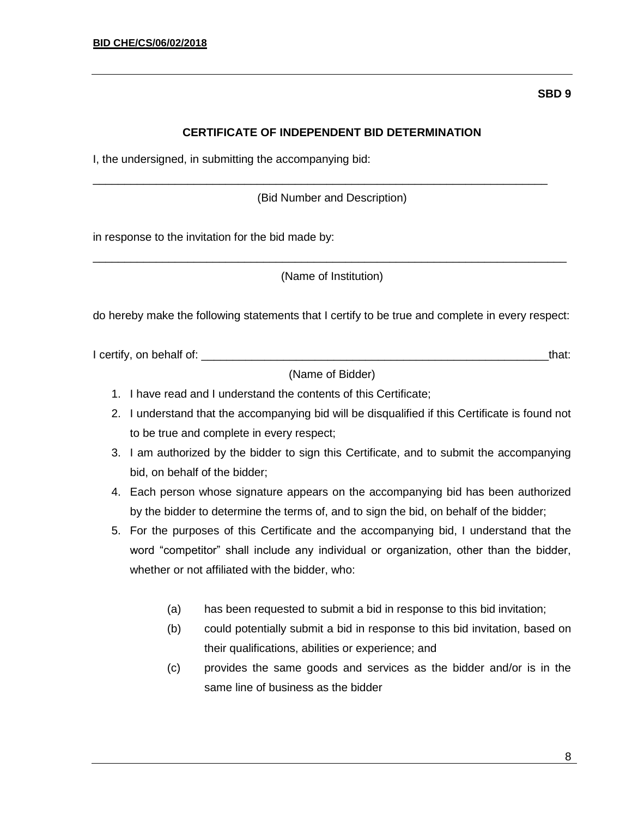## **CERTIFICATE OF INDEPENDENT BID DETERMINATION**

I, the undersigned, in submitting the accompanying bid:

(Bid Number and Description)

\_\_\_\_\_\_\_\_\_\_\_\_\_\_\_\_\_\_\_\_\_\_\_\_\_\_\_\_\_\_\_\_\_\_\_\_\_\_\_\_\_\_\_\_\_\_\_\_\_\_\_\_\_\_\_\_\_\_\_\_\_\_\_\_\_\_\_\_\_\_\_\_

in response to the invitation for the bid made by:

\_\_\_\_\_\_\_\_\_\_\_\_\_\_\_\_\_\_\_\_\_\_\_\_\_\_\_\_\_\_\_\_\_\_\_\_\_\_\_\_\_\_\_\_\_\_\_\_\_\_\_\_\_\_\_\_\_\_\_\_\_\_\_\_\_\_\_\_\_\_\_\_\_\_\_ (Name of Institution)

do hereby make the following statements that I certify to be true and complete in every respect:

I certify, on behalf of: \_\_\_\_\_\_\_\_\_\_\_\_\_\_\_\_\_\_\_\_\_\_\_\_\_\_\_\_\_\_\_\_\_\_\_\_\_\_\_\_\_\_\_\_\_\_\_\_\_\_\_\_\_\_\_that:

(Name of Bidder)

- 1. I have read and I understand the contents of this Certificate;
- 2. I understand that the accompanying bid will be disqualified if this Certificate is found not to be true and complete in every respect;
- 3. I am authorized by the bidder to sign this Certificate, and to submit the accompanying bid, on behalf of the bidder;
- 4. Each person whose signature appears on the accompanying bid has been authorized by the bidder to determine the terms of, and to sign the bid, on behalf of the bidder;
- 5. For the purposes of this Certificate and the accompanying bid, I understand that the word "competitor" shall include any individual or organization, other than the bidder, whether or not affiliated with the bidder, who:
	- (a) has been requested to submit a bid in response to this bid invitation;
	- (b) could potentially submit a bid in response to this bid invitation, based on their qualifications, abilities or experience; and
	- (c) provides the same goods and services as the bidder and/or is in the same line of business as the bidder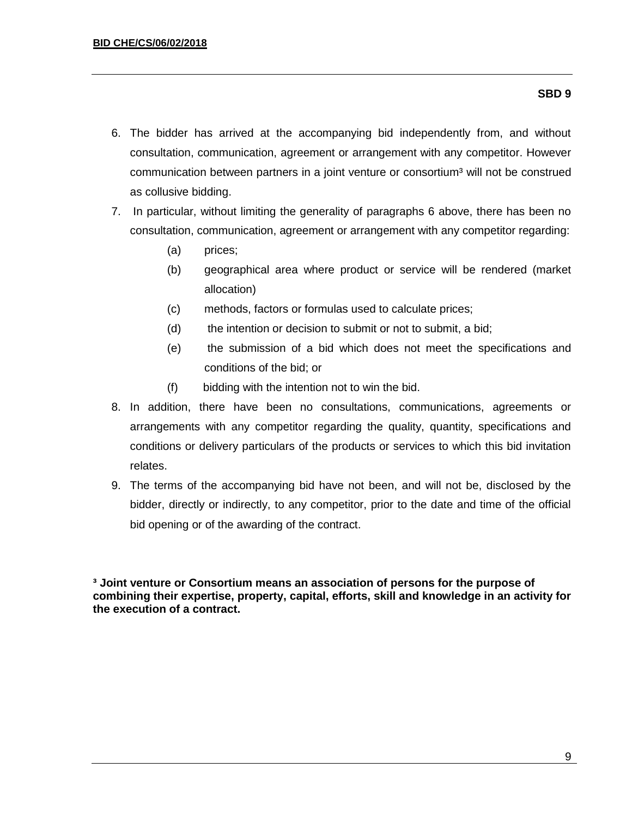### **SBD 9**

- 6. The bidder has arrived at the accompanying bid independently from, and without consultation, communication, agreement or arrangement with any competitor. However communication between partners in a joint venture or consortium<sup>3</sup> will not be construed as collusive bidding.
- 7. In particular, without limiting the generality of paragraphs 6 above, there has been no consultation, communication, agreement or arrangement with any competitor regarding:
	- (a) prices;
	- (b) geographical area where product or service will be rendered (market allocation)
	- (c) methods, factors or formulas used to calculate prices;
	- (d) the intention or decision to submit or not to submit, a bid;
	- (e) the submission of a bid which does not meet the specifications and conditions of the bid; or
	- (f) bidding with the intention not to win the bid.
- 8. In addition, there have been no consultations, communications, agreements or arrangements with any competitor regarding the quality, quantity, specifications and conditions or delivery particulars of the products or services to which this bid invitation relates.
- 9. The terms of the accompanying bid have not been, and will not be, disclosed by the bidder, directly or indirectly, to any competitor, prior to the date and time of the official bid opening or of the awarding of the contract.

**³ Joint venture or Consortium means an association of persons for the purpose of combining their expertise, property, capital, efforts, skill and knowledge in an activity for the execution of a contract.**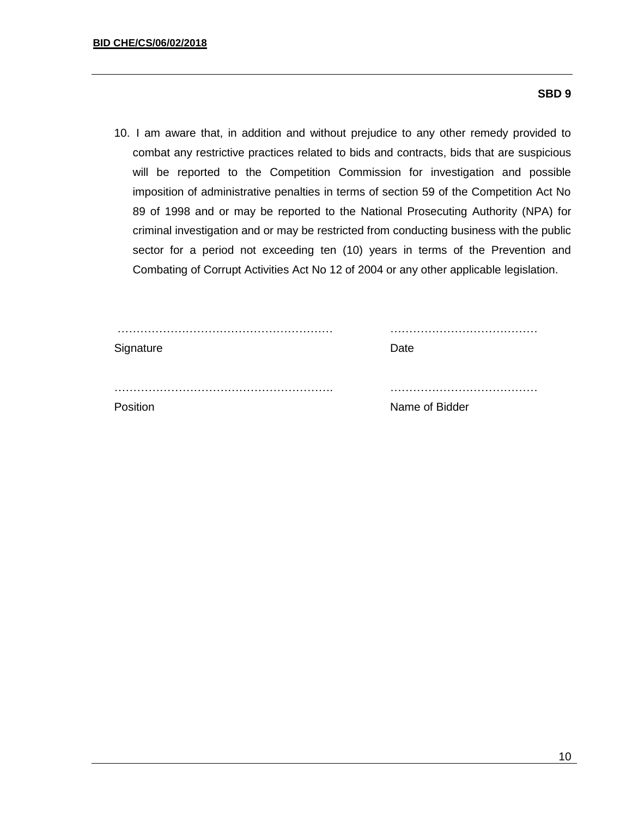### **SBD 9**

10. I am aware that, in addition and without prejudice to any other remedy provided to combat any restrictive practices related to bids and contracts, bids that are suspicious will be reported to the Competition Commission for investigation and possible imposition of administrative penalties in terms of section 59 of the Competition Act No 89 of 1998 and or may be reported to the National Prosecuting Authority (NPA) for criminal investigation and or may be restricted from conducting business with the public sector for a period not exceeding ten (10) years in terms of the Prevention and Combating of Corrupt Activities Act No 12 of 2004 or any other applicable legislation.

| Signature | Date           |
|-----------|----------------|
|           |                |
| Position  | Name of Bidder |